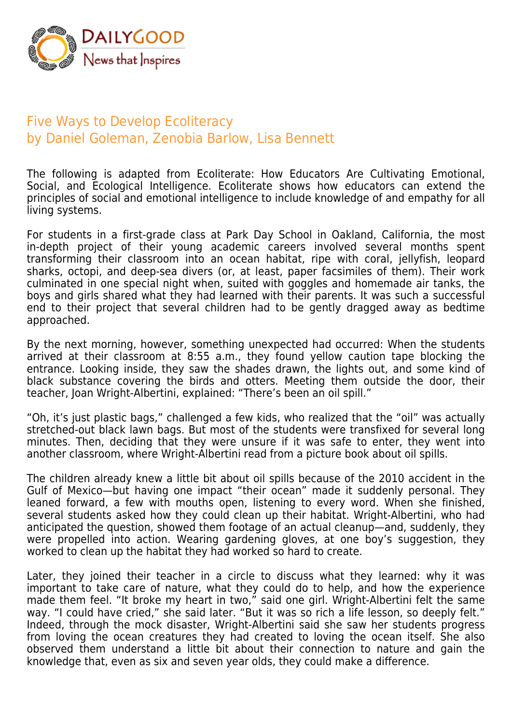

## Five Ways to Develop Ecoliteracy by Daniel Goleman, Zenobia Barlow, Lisa Bennett

The following is adapted from Ecoliterate: How Educators Are Cultivating Emotional, Social, and Ecological Intelligence. Ecoliterate shows how educators can extend the principles of social and emotional intelligence to include knowledge of and empathy for all living systems.

For students in a first-grade class at Park Day School in Oakland, California, the most in-depth project of their young academic careers involved several months spent transforming their classroom into an ocean habitat, ripe with coral, jellyfish, leopard sharks, octopi, and deep-sea divers (or, at least, paper facsimiles of them). Their work culminated in one special night when, suited with goggles and homemade air tanks, the boys and girls shared what they had learned with their parents. It was such a successful end to their project that several children had to be gently dragged away as bedtime approached.

By the next morning, however, something unexpected had occurred: When the students arrived at their classroom at 8:55 a.m., they found yellow caution tape blocking the entrance. Looking inside, they saw the shades drawn, the lights out, and some kind of black substance covering the birds and otters. Meeting them outside the door, their teacher, Joan Wright-Albertini, explained: "There's been an oil spill."

"Oh, it's just plastic bags," challenged a few kids, who realized that the "oil" was actually stretched-out black lawn bags. But most of the students were transfixed for several long minutes. Then, deciding that they were unsure if it was safe to enter, they went into another classroom, where Wright-Albertini read from a picture book about oil spills.

The children already knew a little bit about oil spills because of the 2010 accident in the Gulf of Mexico—but having one impact "their ocean" made it suddenly personal. They leaned forward, a few with mouths open, listening to every word. When she finished, several students asked how they could clean up their habitat. Wright-Albertini, who had anticipated the question, showed them footage of an actual cleanup—and, suddenly, they were propelled into action. Wearing gardening gloves, at one boy's suggestion, they worked to clean up the habitat they had worked so hard to create.

Later, they joined their teacher in a circle to discuss what they learned: why it was important to take care of nature, what they could do to help, and how the experience made them feel. "It broke my heart in two," said one girl. Wright-Albertini felt the same way. "I could have cried," she said later. "But it was so rich a life lesson, so deeply felt." Indeed, through the mock disaster, Wright-Albertini said she saw her students progress from loving the ocean creatures they had created to loving the ocean itself. She also observed them understand a little bit about their connection to nature and gain the knowledge that, even as six and seven year olds, they could make a difference.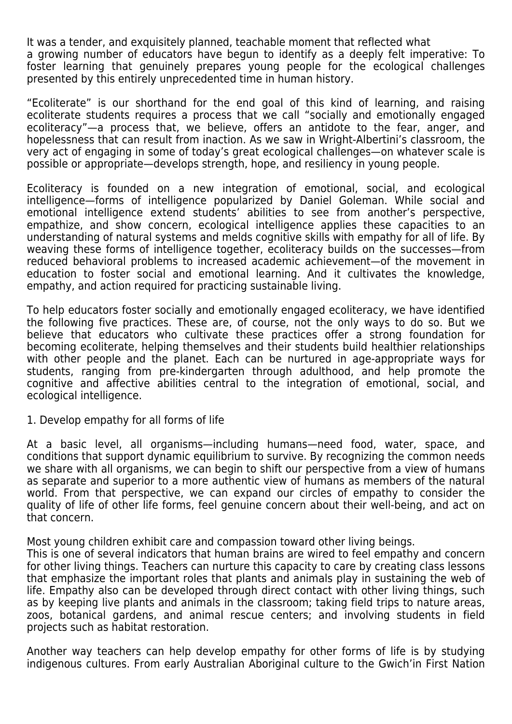It was a tender, and exquisitely planned, teachable moment that reflected what a growing number of educators have begun to identify as a deeply felt imperative: To foster learning that genuinely prepares young people for the ecological challenges presented by this entirely unprecedented time in human history.

"Ecoliterate" is our shorthand for the end goal of this kind of learning, and raising ecoliterate students requires a process that we call "socially and emotionally engaged ecoliteracy"—a process that, we believe, offers an antidote to the fear, anger, and hopelessness that can result from inaction. As we saw in Wright-Albertini's classroom, the very act of engaging in some of today's great ecological challenges—on whatever scale is possible or appropriate—develops strength, hope, and resiliency in young people.

Ecoliteracy is founded on a new integration of emotional, social, and ecological intelligence—forms of intelligence popularized by Daniel Goleman. While social and emotional intelligence extend students' abilities to see from another's perspective, empathize, and show concern, ecological intelligence applies these capacities to an understanding of natural systems and melds cognitive skills with empathy for all of life. By weaving these forms of intelligence together, ecoliteracy builds on the successes—from reduced behavioral problems to increased academic achievement—of the movement in education to foster social and emotional learning. And it cultivates the knowledge, empathy, and action required for practicing sustainable living.

To help educators foster socially and emotionally engaged ecoliteracy, we have identified the following five practices. These are, of course, not the only ways to do so. But we believe that educators who cultivate these practices offer a strong foundation for becoming ecoliterate, helping themselves and their students build healthier relationships with other people and the planet. Each can be nurtured in age-appropriate ways for students, ranging from pre-kindergarten through adulthood, and help promote the cognitive and affective abilities central to the integration of emotional, social, and ecological intelligence.

1. Develop empathy for all forms of life

At a basic level, all organisms—including humans—need food, water, space, and conditions that support dynamic equilibrium to survive. By recognizing the common needs we share with all organisms, we can begin to shift our perspective from a view of humans as separate and superior to a more authentic view of humans as members of the natural world. From that perspective, we can expand our circles of empathy to consider the quality of life of other life forms, feel genuine concern about their well-being, and act on that concern.

Most young children exhibit care and compassion toward other living beings.

This is one of several indicators that human brains are wired to feel empathy and concern for other living things. Teachers can nurture this capacity to care by creating class lessons that emphasize the important roles that plants and animals play in sustaining the web of life. Empathy also can be developed through direct contact with other living things, such as by keeping live plants and animals in the classroom; taking field trips to nature areas, zoos, botanical gardens, and animal rescue centers; and involving students in field projects such as habitat restoration.

Another way teachers can help develop empathy for other forms of life is by studying indigenous cultures. From early Australian Aboriginal culture to the Gwich'in First Nation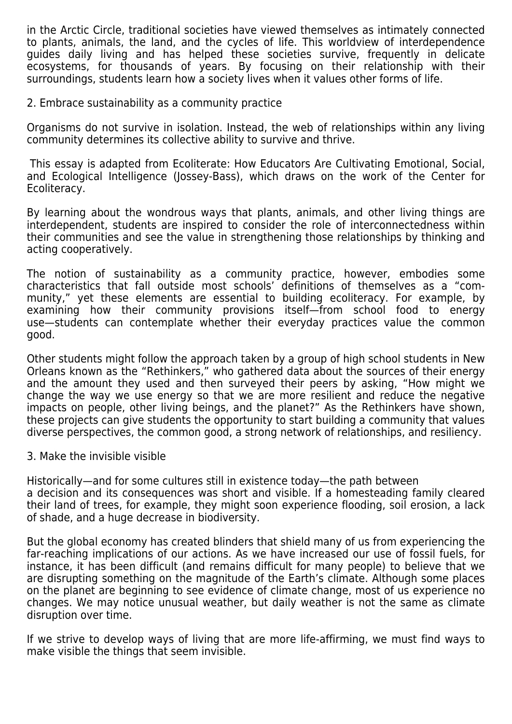in the Arctic Circle, traditional societies have viewed themselves as intimately connected to plants, animals, the land, and the cycles of life. This worldview of interdependence guides daily living and has helped these societies survive, frequently in delicate ecosystems, for thousands of years. By focusing on their relationship with their surroundings, students learn how a society lives when it values other forms of life.

## 2. Embrace sustainability as a community practice

Organisms do not survive in isolation. Instead, the web of relationships within any living community determines its collective ability to survive and thrive.

 This essay is adapted from Ecoliterate: How Educators Are Cultivating Emotional, Social, and Ecological Intelligence (Jossey-Bass), which draws on the work of the Center for Ecoliteracy.

By learning about the wondrous ways that plants, animals, and other living things are interdependent, students are inspired to consider the role of interconnectedness within their communities and see the value in strengthening those relationships by thinking and acting cooperatively.

The notion of sustainability as a community practice, however, embodies some characteristics that fall outside most schools' definitions of themselves as a "community," yet these elements are essential to building ecoliteracy. For example, by examining how their community provisions itself—from school food to energy use—students can contemplate whether their everyday practices value the common good.

Other students might follow the approach taken by a group of high school students in New Orleans known as the "Rethinkers," who gathered data about the sources of their energy and the amount they used and then surveyed their peers by asking, "How might we change the way we use energy so that we are more resilient and reduce the negative impacts on people, other living beings, and the planet?" As the Rethinkers have shown, these projects can give students the opportunity to start building a community that values diverse perspectives, the common good, a strong network of relationships, and resiliency.

## 3. Make the invisible visible

Historically—and for some cultures still in existence today—the path between a decision and its consequences was short and visible. If a homesteading family cleared their land of trees, for example, they might soon experience flooding, soil erosion, a lack of shade, and a huge decrease in biodiversity.

But the global economy has created blinders that shield many of us from experiencing the far-reaching implications of our actions. As we have increased our use of fossil fuels, for instance, it has been difficult (and remains difficult for many people) to believe that we are disrupting something on the magnitude of the Earth's climate. Although some places on the planet are beginning to see evidence of climate change, most of us experience no changes. We may notice unusual weather, but daily weather is not the same as climate disruption over time.

If we strive to develop ways of living that are more life-affirming, we must find ways to make visible the things that seem invisible.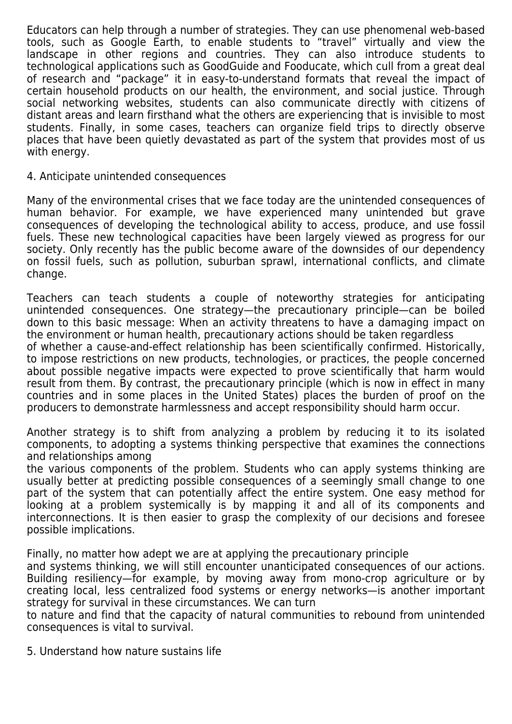Educators can help through a number of strategies. They can use phenomenal web-based tools, such as Google Earth, to enable students to "travel" virtually and view the landscape in other regions and countries. They can also introduce students to technological applications such as GoodGuide and Fooducate, which cull from a great deal of research and "package" it in easy-to-understand formats that reveal the impact of certain household products on our health, the environment, and social justice. Through social networking websites, students can also communicate directly with citizens of distant areas and learn firsthand what the others are experiencing that is invisible to most students. Finally, in some cases, teachers can organize field trips to directly observe places that have been quietly devastated as part of the system that provides most of us with energy.

## 4. Anticipate unintended consequences

Many of the environmental crises that we face today are the unintended consequences of human behavior. For example, we have experienced many unintended but grave consequences of developing the technological ability to access, produce, and use fossil fuels. These new technological capacities have been largely viewed as progress for our society. Only recently has the public become aware of the downsides of our dependency on fossil fuels, such as pollution, suburban sprawl, international conflicts, and climate change.

Teachers can teach students a couple of noteworthy strategies for anticipating unintended consequences. One strategy—the precautionary principle—can be boiled down to this basic message: When an activity threatens to have a damaging impact on the environment or human health, precautionary actions should be taken regardless

of whether a cause-and-effect relationship has been scientifically confirmed. Historically, to impose restrictions on new products, technologies, or practices, the people concerned about possible negative impacts were expected to prove scientifically that harm would result from them. By contrast, the precautionary principle (which is now in effect in many countries and in some places in the United States) places the burden of proof on the producers to demonstrate harmlessness and accept responsibility should harm occur.

Another strategy is to shift from analyzing a problem by reducing it to its isolated components, to adopting a systems thinking perspective that examines the connections and relationships among

the various components of the problem. Students who can apply systems thinking are usually better at predicting possible consequences of a seemingly small change to one part of the system that can potentially affect the entire system. One easy method for looking at a problem systemically is by mapping it and all of its components and interconnections. It is then easier to grasp the complexity of our decisions and foresee possible implications.

Finally, no matter how adept we are at applying the precautionary principle

and systems thinking, we will still encounter unanticipated consequences of our actions. Building resiliency—for example, by moving away from mono-crop agriculture or by creating local, less centralized food systems or energy networks—is another important strategy for survival in these circumstances. We can turn

to nature and find that the capacity of natural communities to rebound from unintended consequences is vital to survival.

5. Understand how nature sustains life